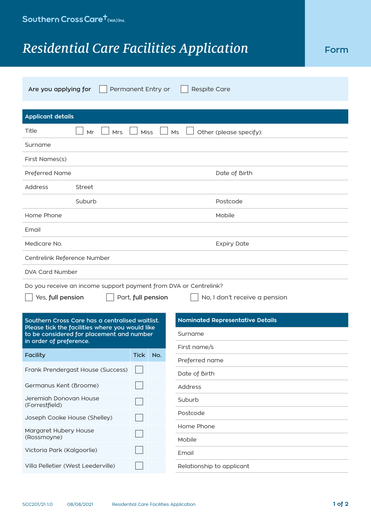## **Residential Care Facilities Application Form**

| Permanent Entry or<br>Respite Care<br>Are you applying for                                   |                    |                                         |  |  |  |
|----------------------------------------------------------------------------------------------|--------------------|-----------------------------------------|--|--|--|
| <b>Applicant details</b>                                                                     |                    |                                         |  |  |  |
| Title<br>Mr<br><b>Mrs</b>                                                                    | <b>Miss</b>        | Ms<br>Other (please specify):           |  |  |  |
| Surname                                                                                      |                    |                                         |  |  |  |
| First Names(s)                                                                               |                    |                                         |  |  |  |
| Preferred Name                                                                               |                    | Date of Birth                           |  |  |  |
| Address<br>Street                                                                            |                    |                                         |  |  |  |
| Suburb                                                                                       |                    | Postcode                                |  |  |  |
| Home Phone                                                                                   |                    | Mobile                                  |  |  |  |
| Email                                                                                        |                    |                                         |  |  |  |
| Medicare No.                                                                                 |                    | <b>Expiry Date</b>                      |  |  |  |
| Centrelink Reference Number                                                                  |                    |                                         |  |  |  |
| DVA Card Number                                                                              |                    |                                         |  |  |  |
| Do you receive an income support payment from DVA or Centrelink?                             |                    |                                         |  |  |  |
| Yes, full pension                                                                            | Part, full pension | No, I don't receive a pension           |  |  |  |
| Southern Cross Care has a centralised waitlist.                                              |                    | <b>Nominated Representative Details</b> |  |  |  |
| Please tick the facilities where you would like<br>to be considered for placement and number | Surname            |                                         |  |  |  |
| in order of preference.                                                                      |                    | First name/s                            |  |  |  |
| <b>Facility</b>                                                                              | <b>Tick</b><br>No. | Preferred name                          |  |  |  |
| Frank Prendergast House (Success)                                                            |                    | Date of Birth                           |  |  |  |
| Germanus Kent (Broome)                                                                       |                    | Address                                 |  |  |  |
| Jeremiah Donovan House<br>(Forrestfield)                                                     |                    | Suburb                                  |  |  |  |
| Joseph Cooke House (Shelley)                                                                 |                    | Postcode                                |  |  |  |
| Margaret Hubery House<br>(Rossmoyne)                                                         |                    | Home Phone                              |  |  |  |
| Victoria Park (Kalgoorlie)                                                                   |                    | Mobile                                  |  |  |  |
| Villa Pelletier (West Leederville)                                                           |                    | Email<br>Relationship to applicant      |  |  |  |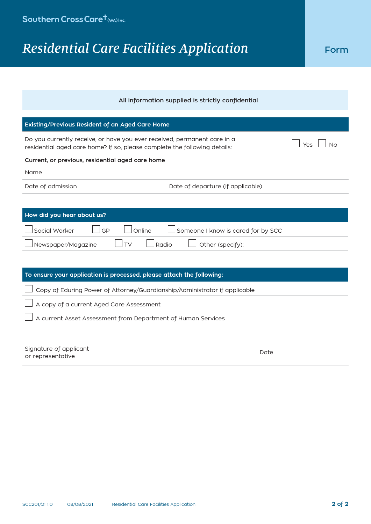## **Residential Care Facilities Application Form**

| All information supplied is strictly confidential                                                                                                            |  |  |  |
|--------------------------------------------------------------------------------------------------------------------------------------------------------------|--|--|--|
|                                                                                                                                                              |  |  |  |
| Existing/Previous Resident of an Aged Care Home                                                                                                              |  |  |  |
| Do you currently receive, or have you ever received, permanent care in a<br>Yes<br>residential aged care home? If so, please complete the following details: |  |  |  |
| Current, or previous, residential aged care home                                                                                                             |  |  |  |
| Name                                                                                                                                                         |  |  |  |
| Date of admission<br>Date of departure (if applicable)                                                                                                       |  |  |  |
|                                                                                                                                                              |  |  |  |
| How did you hear about us?                                                                                                                                   |  |  |  |
| Social Worker<br>GP<br>Online<br>Someone I know is cared for by SCC                                                                                          |  |  |  |
| Newspaper/Magazine<br>Other (specify):<br><b>TV</b><br>Radio                                                                                                 |  |  |  |
|                                                                                                                                                              |  |  |  |
|                                                                                                                                                              |  |  |  |
| To ensure your application is processed, please attach the following:                                                                                        |  |  |  |
| Copy of Eduring Power of Attorney/Guardianship/Administrator if applicable                                                                                   |  |  |  |
| A copy of a current Aged Care Assessment                                                                                                                     |  |  |  |

| Signature of applicant | Date |
|------------------------|------|
| or representative      |      |